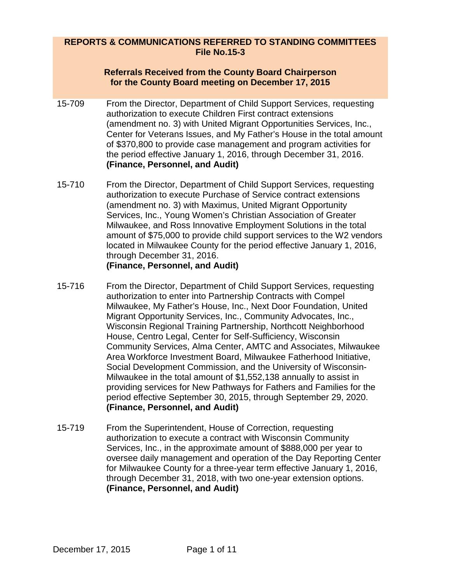## **REPORTS & COMMUNICATIONS REFERRED TO STANDING COMMITTEES File No.15-3**

### **Referrals Received from the County Board Chairperson for the County Board meeting on December 17, 2015**

- 15-709 From the Director, Department of Child Support Services, requesting authorization to execute Children First contract extensions (amendment no. 3) with United Migrant Opportunities Services, Inc., Center for Veterans Issues, and My Father's House in the total amount of \$370,800 to provide case management and program activities for the period effective January 1, 2016, through December 31, 2016. **(Finance, Personnel, and Audit)**
- 15-710 From the Director, Department of Child Support Services, requesting authorization to execute Purchase of Service contract extensions (amendment no. 3) with Maximus, United Migrant Opportunity Services, Inc., Young Women's Christian Association of Greater Milwaukee, and Ross Innovative Employment Solutions in the total amount of \$75,000 to provide child support services to the W2 vendors located in Milwaukee County for the period effective January 1, 2016, through December 31, 2016. **(Finance, Personnel, and Audit)**
- 15-716 From the Director, Department of Child Support Services, requesting authorization to enter into Partnership Contracts with Compel Milwaukee, My Father's House, Inc., Next Door Foundation, United Migrant Opportunity Services, Inc., Community Advocates, Inc., Wisconsin Regional Training Partnership, Northcott Neighborhood House, Centro Legal, Center for Self-Sufficiency, Wisconsin Community Services, Alma Center, AMTC and Associates, Milwaukee Area Workforce Investment Board, Milwaukee Fatherhood Initiative, Social Development Commission, and the University of Wisconsin-Milwaukee in the total amount of \$1,552,138 annually to assist in providing services for New Pathways for Fathers and Families for the period effective September 30, 2015, through September 29, 2020. **(Finance, Personnel, and Audit)**
- 15-719 From the Superintendent, House of Correction, requesting authorization to execute a contract with Wisconsin Community Services, Inc., in the approximate amount of \$888,000 per year to oversee daily management and operation of the Day Reporting Center for Milwaukee County for a three-year term effective January 1, 2016, through December 31, 2018, with two one-year extension options. **(Finance, Personnel, and Audit)**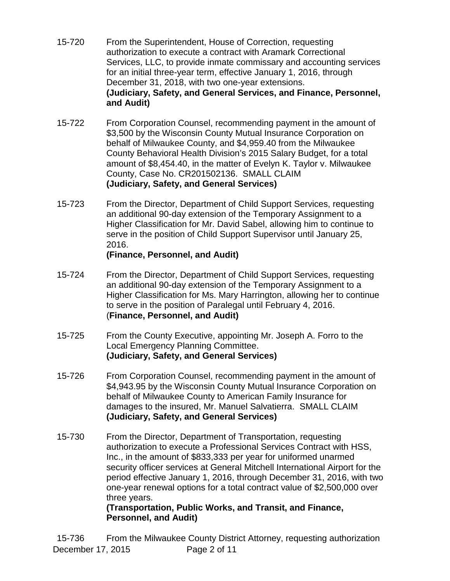- 15-720 From the Superintendent, House of Correction, requesting authorization to execute a contract with Aramark Correctional Services, LLC, to provide inmate commissary and accounting services for an initial three-year term, effective January 1, 2016, through December 31, 2018, with two one-year extensions. **(Judiciary, Safety, and General Services, and Finance, Personnel, and Audit)**
- 15-722 From Corporation Counsel, recommending payment in the amount of \$3,500 by the Wisconsin County Mutual Insurance Corporation on behalf of Milwaukee County, and \$4,959.40 from the Milwaukee County Behavioral Health Division's 2015 Salary Budget, for a total amount of \$8,454.40, in the matter of Evelyn K. Taylor v. Milwaukee County, Case No. CR201502136. SMALL CLAIM **(Judiciary, Safety, and General Services)**
- 15-723 From the Director, Department of Child Support Services, requesting an additional 90-day extension of the Temporary Assignment to a Higher Classification for Mr. David Sabel, allowing him to continue to serve in the position of Child Support Supervisor until January 25, 2016. **(Finance, Personnel, and Audit)**
- 15-724 From the Director, Department of Child Support Services, requesting an additional 90-day extension of the Temporary Assignment to a Higher Classification for Ms. Mary Harrington, allowing her to continue to serve in the position of Paralegal until February 4, 2016. (**Finance, Personnel, and Audit)**
- 15-725 From the County Executive, appointing Mr. Joseph A. Forro to the Local Emergency Planning Committee. **(Judiciary, Safety, and General Services)**
- 15-726 From Corporation Counsel, recommending payment in the amount of \$4,943.95 by the Wisconsin County Mutual Insurance Corporation on behalf of Milwaukee County to American Family Insurance for damages to the insured, Mr. Manuel Salvatierra. SMALL CLAIM **(Judiciary, Safety, and General Services)**
- 15-730 From the Director, Department of Transportation, requesting authorization to execute a Professional Services Contract with HSS, Inc., in the amount of \$833,333 per year for uniformed unarmed security officer services at General Mitchell International Airport for the period effective January 1, 2016, through December 31, 2016, with two one-year renewal options for a total contract value of \$2,500,000 over three years.

**(Transportation, Public Works, and Transit, and Finance, Personnel, and Audit)**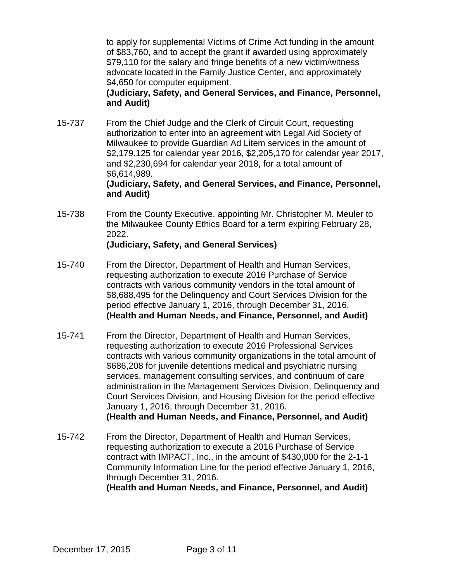to apply for supplemental Victims of Crime Act funding in the amount of \$83,760, and to accept the grant if awarded using approximately \$79,110 for the salary and fringe benefits of a new victim/witness advocate located in the Family Justice Center, and approximately \$4,650 for computer equipment.

# **(Judiciary, Safety, and General Services, and Finance, Personnel, and Audit)**

- 15-737 From the Chief Judge and the Clerk of Circuit Court, requesting authorization to enter into an agreement with Legal Aid Society of Milwaukee to provide Guardian Ad Litem services in the amount of \$2,179,125 for calendar year 2016, \$2,205,170 for calendar year 2017, and \$2,230,694 for calendar year 2018, for a total amount of \$6,614,989. **(Judiciary, Safety, and General Services, and Finance, Personnel, and Audit)**
- 15-738 From the County Executive, appointing Mr. Christopher M. Meuler to the Milwaukee County Ethics Board for a term expiring February 28, 2022.

# **(Judiciary, Safety, and General Services)**

- 15-740 From the Director, Department of Health and Human Services, requesting authorization to execute 2016 Purchase of Service contracts with various community vendors in the total amount of \$8,688,495 for the Delinquency and Court Services Division for the period effective January 1, 2016, through December 31, 2016. **(Health and Human Needs, and Finance, Personnel, and Audit)**
- 15-741 From the Director, Department of Health and Human Services, requesting authorization to execute 2016 Professional Services contracts with various community organizations in the total amount of \$686,208 for juvenile detentions medical and psychiatric nursing services, management consulting services, and continuum of care administration in the Management Services Division, Delinquency and Court Services Division, and Housing Division for the period effective January 1, 2016, through December 31, 2016. **(Health and Human Needs, and Finance, Personnel, and Audit)**
- 15-742 From the Director, Department of Health and Human Services, requesting authorization to execute a 2016 Purchase of Service contract with IMPACT, Inc., in the amount of \$430,000 for the 2-1-1 Community Information Line for the period effective January 1, 2016, through December 31, 2016. **(Health and Human Needs, and Finance, Personnel, and Audit)**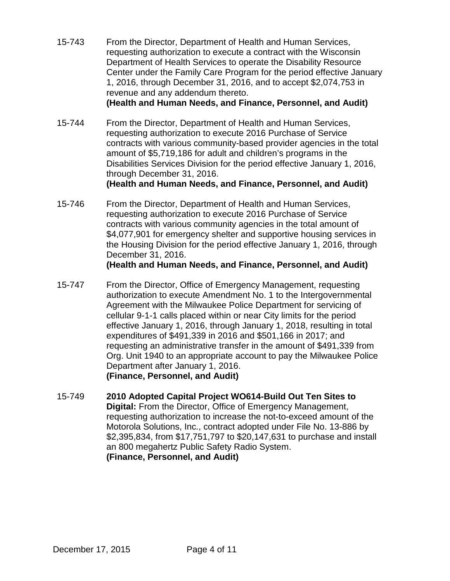- 15-743 From the Director, Department of Health and Human Services, requesting authorization to execute a contract with the Wisconsin Department of Health Services to operate the Disability Resource Center under the Family Care Program for the period effective January 1, 2016, through December 31, 2016, and to accept \$2,074,753 in revenue and any addendum thereto. **(Health and Human Needs, and Finance, Personnel, and Audit)**
- 15-744 From the Director, Department of Health and Human Services, requesting authorization to execute 2016 Purchase of Service contracts with various community-based provider agencies in the total amount of \$5,719,186 for adult and children's programs in the Disabilities Services Division for the period effective January 1, 2016, through December 31, 2016. **(Health and Human Needs, and Finance, Personnel, and Audit)**
- 15-746 From the Director, Department of Health and Human Services, requesting authorization to execute 2016 Purchase of Service contracts with various community agencies in the total amount of \$4,077,901 for emergency shelter and supportive housing services in the Housing Division for the period effective January 1, 2016, through December 31, 2016.

#### **(Health and Human Needs, and Finance, Personnel, and Audit)**

- 15-747 From the Director, Office of Emergency Management, requesting authorization to execute Amendment No. 1 to the Intergovernmental Agreement with the Milwaukee Police Department for servicing of cellular 9-1-1 calls placed within or near City limits for the period effective January 1, 2016, through January 1, 2018, resulting in total expenditures of \$491,339 in 2016 and \$501,166 in 2017; and requesting an administrative transfer in the amount of \$491,339 from Org. Unit 1940 to an appropriate account to pay the Milwaukee Police Department after January 1, 2016. **(Finance, Personnel, and Audit)**
- 15-749 **2010 Adopted Capital Project WO614-Build Out Ten Sites to Digital:** From the Director, Office of Emergency Management, requesting authorization to increase the not-to-exceed amount of the Motorola Solutions, Inc., contract adopted under File No. 13-886 by \$2,395,834, from \$17,751,797 to \$20,147,631 to purchase and install an 800 megahertz Public Safety Radio System. **(Finance, Personnel, and Audit)**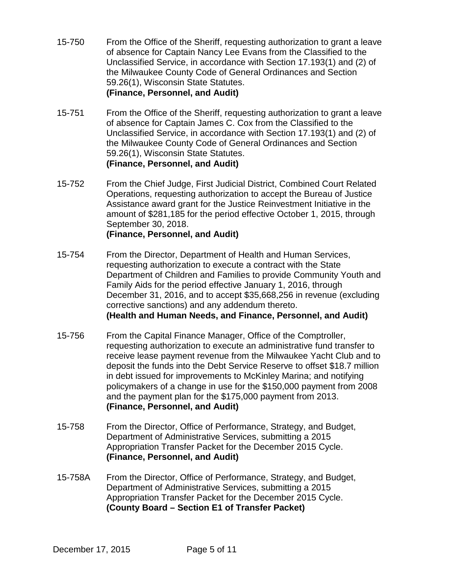- 15-750 From the Office of the Sheriff, requesting authorization to grant a leave of absence for Captain Nancy Lee Evans from the Classified to the Unclassified Service, in accordance with Section 17.193(1) and (2) of the Milwaukee County Code of General Ordinances and Section 59.26(1), Wisconsin State Statutes. **(Finance, Personnel, and Audit)**
- 15-751 From the Office of the Sheriff, requesting authorization to grant a leave of absence for Captain James C. Cox from the Classified to the Unclassified Service, in accordance with Section 17.193(1) and (2) of the Milwaukee County Code of General Ordinances and Section 59.26(1), Wisconsin State Statutes. **(Finance, Personnel, and Audit)**
- 15-752 From the Chief Judge, First Judicial District, Combined Court Related Operations, requesting authorization to accept the Bureau of Justice Assistance award grant for the Justice Reinvestment Initiative in the amount of \$281,185 for the period effective October 1, 2015, through September 30, 2018.

# **(Finance, Personnel, and Audit)**

- 15-754 From the Director, Department of Health and Human Services, requesting authorization to execute a contract with the State Department of Children and Families to provide Community Youth and Family Aids for the period effective January 1, 2016, through December 31, 2016, and to accept \$35,668,256 in revenue (excluding corrective sanctions) and any addendum thereto. **(Health and Human Needs, and Finance, Personnel, and Audit)**
- 15-756 From the Capital Finance Manager, Office of the Comptroller, requesting authorization to execute an administrative fund transfer to receive lease payment revenue from the Milwaukee Yacht Club and to deposit the funds into the Debt Service Reserve to offset \$18.7 million in debt issued for improvements to McKinley Marina; and notifying policymakers of a change in use for the \$150,000 payment from 2008 and the payment plan for the \$175,000 payment from 2013. **(Finance, Personnel, and Audit)**
- 15-758 From the Director, Office of Performance, Strategy, and Budget, Department of Administrative Services, submitting a 2015 Appropriation Transfer Packet for the December 2015 Cycle. **(Finance, Personnel, and Audit)**
- 15-758A From the Director, Office of Performance, Strategy, and Budget, Department of Administrative Services, submitting a 2015 Appropriation Transfer Packet for the December 2015 Cycle. **(County Board – Section E1 of Transfer Packet)**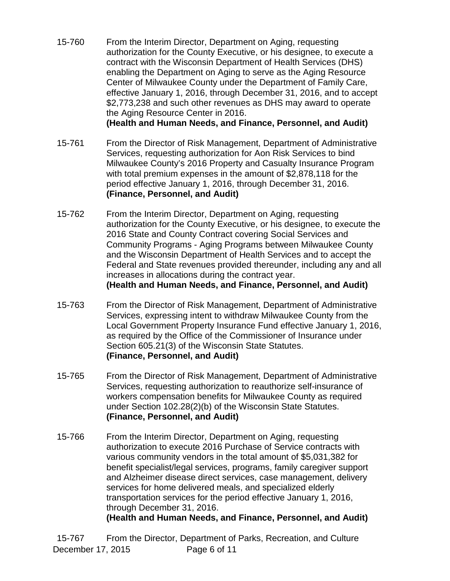- 15-760 From the Interim Director, Department on Aging, requesting authorization for the County Executive, or his designee, to execute a contract with the Wisconsin Department of Health Services (DHS) enabling the Department on Aging to serve as the Aging Resource Center of Milwaukee County under the Department of Family Care, effective January 1, 2016, through December 31, 2016, and to accept \$2,773,238 and such other revenues as DHS may award to operate the Aging Resource Center in 2016. **(Health and Human Needs, and Finance, Personnel, and Audit)**
- 15-761 From the Director of Risk Management, Department of Administrative Services, requesting authorization for Aon Risk Services to bind Milwaukee County's 2016 Property and Casualty Insurance Program with total premium expenses in the amount of \$2,878,118 for the period effective January 1, 2016, through December 31, 2016. **(Finance, Personnel, and Audit)**
- 15-762 From the Interim Director, Department on Aging, requesting authorization for the County Executive, or his designee, to execute the 2016 State and County Contract covering Social Services and Community Programs - Aging Programs between Milwaukee County and the Wisconsin Department of Health Services and to accept the Federal and State revenues provided thereunder, including any and all increases in allocations during the contract year. **(Health and Human Needs, and Finance, Personnel, and Audit)**
- 15-763 From the Director of Risk Management, Department of Administrative Services, expressing intent to withdraw Milwaukee County from the Local Government Property Insurance Fund effective January 1, 2016, as required by the Office of the Commissioner of Insurance under Section 605.21(3) of the Wisconsin State Statutes. **(Finance, Personnel, and Audit)**
- 15-765 From the Director of Risk Management, Department of Administrative Services, requesting authorization to reauthorize self-insurance of workers compensation benefits for Milwaukee County as required under Section 102.28(2)(b) of the Wisconsin State Statutes. **(Finance, Personnel, and Audit)**
- 15-766 From the Interim Director, Department on Aging, requesting authorization to execute 2016 Purchase of Service contracts with various community vendors in the total amount of \$5,031,382 for benefit specialist/legal services, programs, family caregiver support and Alzheimer disease direct services, case management, delivery services for home delivered meals, and specialized elderly transportation services for the period effective January 1, 2016, through December 31, 2016.

**(Health and Human Needs, and Finance, Personnel, and Audit)**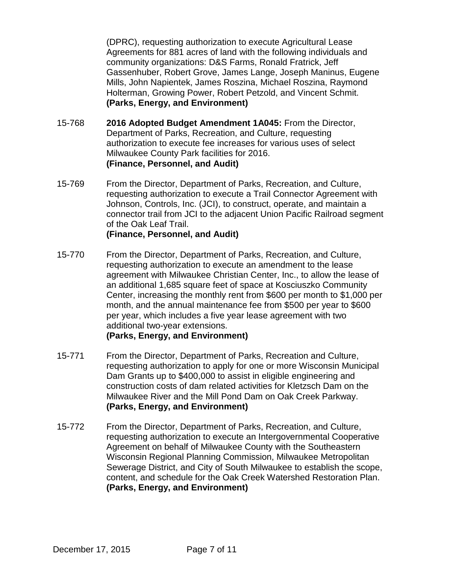(DPRC), requesting authorization to execute Agricultural Lease Agreements for 881 acres of land with the following individuals and community organizations: D&S Farms, Ronald Fratrick, Jeff Gassenhuber, Robert Grove, James Lange, Joseph Maninus, Eugene Mills, John Napientek, James Roszina, Michael Roszina, Raymond Holterman, Growing Power, Robert Petzold, and Vincent Schmit. **(Parks, Energy, and Environment)**

- 15-768 **2016 Adopted Budget Amendment 1A045:** From the Director, Department of Parks, Recreation, and Culture, requesting authorization to execute fee increases for various uses of select Milwaukee County Park facilities for 2016. **(Finance, Personnel, and Audit)**
- 15-769 From the Director, Department of Parks, Recreation, and Culture, requesting authorization to execute a Trail Connector Agreement with Johnson, Controls, Inc. (JCI), to construct, operate, and maintain a connector trail from JCI to the adjacent Union Pacific Railroad segment of the Oak Leaf Trail.

# **(Finance, Personnel, and Audit)**

15-770 From the Director, Department of Parks, Recreation, and Culture, requesting authorization to execute an amendment to the lease agreement with Milwaukee Christian Center, Inc., to allow the lease of an additional 1,685 square feet of space at Kosciuszko Community Center, increasing the monthly rent from \$600 per month to \$1,000 per month, and the annual maintenance fee from \$500 per year to \$600 per year, which includes a five year lease agreement with two additional two-year extensions.

## **(Parks, Energy, and Environment)**

- 15-771 From the Director, Department of Parks, Recreation and Culture, requesting authorization to apply for one or more Wisconsin Municipal Dam Grants up to \$400,000 to assist in eligible engineering and construction costs of dam related activities for Kletzsch Dam on the Milwaukee River and the Mill Pond Dam on Oak Creek Parkway. **(Parks, Energy, and Environment)**
- 15-772 From the Director, Department of Parks, Recreation, and Culture, requesting authorization to execute an Intergovernmental Cooperative Agreement on behalf of Milwaukee County with the Southeastern Wisconsin Regional Planning Commission, Milwaukee Metropolitan Sewerage District, and City of South Milwaukee to establish the scope, content, and schedule for the Oak Creek Watershed Restoration Plan. **(Parks, Energy, and Environment)**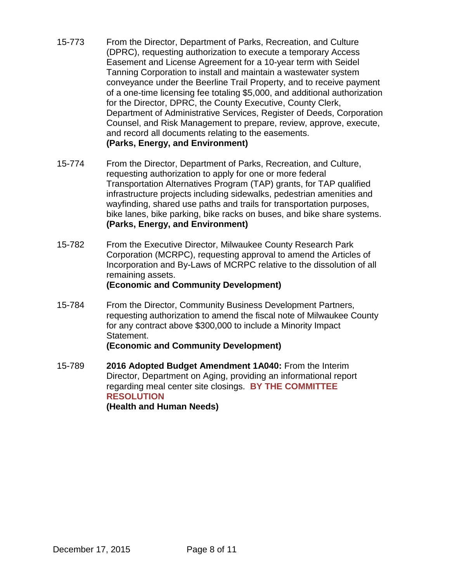- 15-773 From the Director, Department of Parks, Recreation, and Culture (DPRC), requesting authorization to execute a temporary Access Easement and License Agreement for a 10-year term with Seidel Tanning Corporation to install and maintain a wastewater system conveyance under the Beerline Trail Property, and to receive payment of a one-time licensing fee totaling \$5,000, and additional authorization for the Director, DPRC, the County Executive, County Clerk, Department of Administrative Services, Register of Deeds, Corporation Counsel, and Risk Management to prepare, review, approve, execute, and record all documents relating to the easements. **(Parks, Energy, and Environment)**
- 15-774 From the Director, Department of Parks, Recreation, and Culture, requesting authorization to apply for one or more federal Transportation Alternatives Program (TAP) grants, for TAP qualified infrastructure projects including sidewalks, pedestrian amenities and wayfinding, shared use paths and trails for transportation purposes, bike lanes, bike parking, bike racks on buses, and bike share systems. **(Parks, Energy, and Environment)**
- 15-782 From the Executive Director, Milwaukee County Research Park Corporation (MCRPC), requesting approval to amend the Articles of Incorporation and By-Laws of MCRPC relative to the dissolution of all remaining assets. **(Economic and Community Development)**
- 15-784 From the Director, Community Business Development Partners, requesting authorization to amend the fiscal note of Milwaukee County for any contract above \$300,000 to include a Minority Impact Statement. **(Economic and Community Development)**
- 15-789 **2016 Adopted Budget Amendment 1A040:** From the Interim Director, Department on Aging, providing an informational report regarding meal center site closings. **BY THE COMMITTEE RESOLUTION (Health and Human Needs)**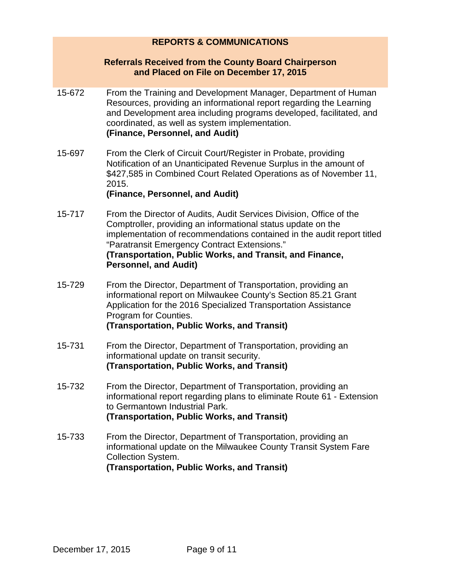## **REPORTS & COMMUNICATIONS**

#### **Referrals Received from the County Board Chairperson and Placed on File on December 17, 2015**

- 15-672 From the Training and Development Manager, Department of Human Resources, providing an informational report regarding the Learning and Development area including programs developed, facilitated, and coordinated, as well as system implementation. **(Finance, Personnel, and Audit)**
- 15-697 From the Clerk of Circuit Court/Register in Probate, providing Notification of an Unanticipated Revenue Surplus in the amount of \$427,585 in Combined Court Related Operations as of November 11, 2015.

#### **(Finance, Personnel, and Audit)**

- 15-717 From the Director of Audits, Audit Services Division, Office of the Comptroller, providing an informational status update on the implementation of recommendations contained in the audit report titled "Paratransit Emergency Contract Extensions." **(Transportation, Public Works, and Transit, and Finance, Personnel, and Audit)**
- 15-729 From the Director, Department of Transportation, providing an informational report on Milwaukee County's Section 85.21 Grant Application for the 2016 Specialized Transportation Assistance Program for Counties. **(Transportation, Public Works, and Transit)**
- 15-731 From the Director, Department of Transportation, providing an informational update on transit security. **(Transportation, Public Works, and Transit)**
- 15-732 From the Director, Department of Transportation, providing an informational report regarding plans to eliminate Route 61 - Extension to Germantown Industrial Park. **(Transportation, Public Works, and Transit)**
- 15-733 From the Director, Department of Transportation, providing an informational update on the Milwaukee County Transit System Fare Collection System. **(Transportation, Public Works, and Transit)**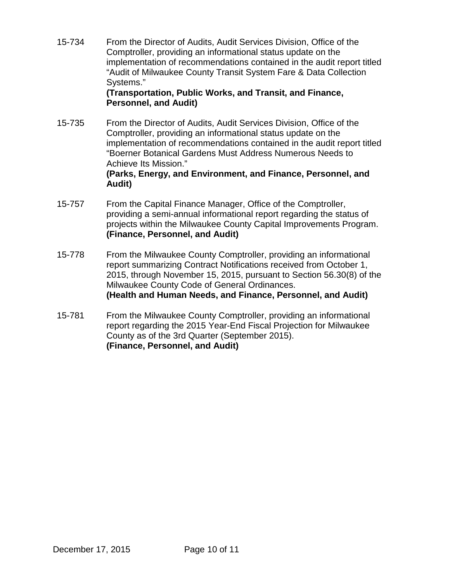15-734 From the Director of Audits, Audit Services Division, Office of the Comptroller, providing an informational status update on the implementation of recommendations contained in the audit report titled "Audit of Milwaukee County Transit System Fare & Data Collection Systems."

### **(Transportation, Public Works, and Transit, and Finance, Personnel, and Audit)**

- 15-735 From the Director of Audits, Audit Services Division, Office of the Comptroller, providing an informational status update on the implementation of recommendations contained in the audit report titled "Boerner Botanical Gardens Must Address Numerous Needs to Achieve Its Mission." **(Parks, Energy, and Environment, and Finance, Personnel, and Audit)**
- 15-757 From the Capital Finance Manager, Office of the Comptroller, providing a semi-annual informational report regarding the status of projects within the Milwaukee County Capital Improvements Program. **(Finance, Personnel, and Audit)**
- 15-778 From the Milwaukee County Comptroller, providing an informational report summarizing Contract Notifications received from October 1, 2015, through November 15, 2015, pursuant to Section 56.30(8) of the Milwaukee County Code of General Ordinances. **(Health and Human Needs, and Finance, Personnel, and Audit)**
- 15-781 From the Milwaukee County Comptroller, providing an informational report regarding the 2015 Year-End Fiscal Projection for Milwaukee County as of the 3rd Quarter (September 2015). **(Finance, Personnel, and Audit)**